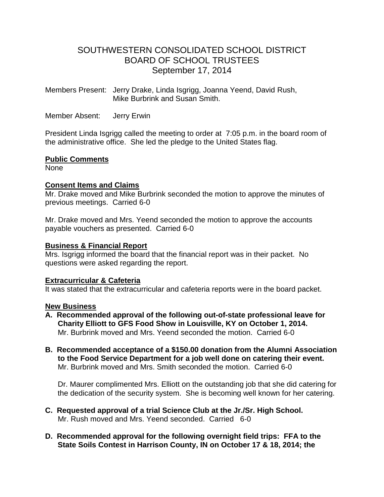# SOUTHWESTERN CONSOLIDATED SCHOOL DISTRICT BOARD OF SCHOOL TRUSTEES September 17, 2014

Members Present: Jerry Drake, Linda Isgrigg, Joanna Yeend, David Rush, Mike Burbrink and Susan Smith.

Member Absent: Jerry Erwin

President Linda Isgrigg called the meeting to order at 7:05 p.m. in the board room of the administrative office. She led the pledge to the United States flag.

### **Public Comments**

None

### **Consent Items and Claims**

Mr. Drake moved and Mike Burbrink seconded the motion to approve the minutes of previous meetings. Carried 6-0

Mr. Drake moved and Mrs. Yeend seconded the motion to approve the accounts payable vouchers as presented. Carried 6-0

#### **Business & Financial Report**

Mrs. Isgrigg informed the board that the financial report was in their packet. No questions were asked regarding the report.

### **Extracurricular & Cafeteria**

It was stated that the extracurricular and cafeteria reports were in the board packet.

#### **New Business**

- **A. Recommended approval of the following out-of-state professional leave for Charity Elliott to GFS Food Show in Louisville, KY on October 1, 2014.**  Mr. Burbrink moved and Mrs. Yeend seconded the motion. Carried 6-0
- **B. Recommended acceptance of a \$150.00 donation from the Alumni Association to the Food Service Department for a job well done on catering their event.** Mr. Burbrink moved and Mrs. Smith seconded the motion. Carried 6-0

 Dr. Maurer complimented Mrs. Elliott on the outstanding job that she did catering for the dedication of the security system. She is becoming well known for her catering.

- **C. Requested approval of a trial Science Club at the Jr./Sr. High School.** Mr. Rush moved and Mrs. Yeend seconded. Carried 6-0
- **D. Recommended approval for the following overnight field trips: FFA to the State Soils Contest in Harrison County, IN on October 17 & 18, 2014; the**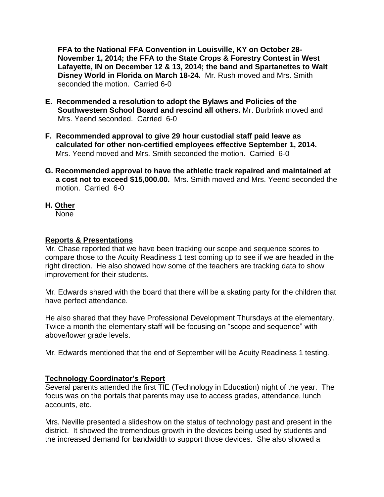**FFA to the National FFA Convention in Louisville, KY on October 28- November 1, 2014; the FFA to the State Crops & Forestry Contest in West Lafayette, IN on December 12 & 13, 2014; the band and Spartanettes to Walt Disney World in Florida on March 18-24.** Mr. Rush moved and Mrs. Smith seconded the motion. Carried 6-0

- **E. Recommended a resolution to adopt the Bylaws and Policies of the Southwestern School Board and rescind all others.** Mr. Burbrink moved and Mrs. Yeend seconded. Carried 6-0
- **F. Recommended approval to give 29 hour custodial staff paid leave as calculated for other non-certified employees effective September 1, 2014.** Mrs. Yeend moved and Mrs. Smith seconded the motion. Carried 6-0
- **G. Recommended approval to have the athletic track repaired and maintained at a cost not to exceed \$15,000.00.** Mrs. Smith moved and Mrs. Yeend seconded the motion. Carried 6-0
- **H. Other**

None

## **Reports & Presentations**

Mr. Chase reported that we have been tracking our scope and sequence scores to compare those to the Acuity Readiness 1 test coming up to see if we are headed in the right direction. He also showed how some of the teachers are tracking data to show improvement for their students.

Mr. Edwards shared with the board that there will be a skating party for the children that have perfect attendance.

He also shared that they have Professional Development Thursdays at the elementary. Twice a month the elementary staff will be focusing on "scope and sequence" with above/lower grade levels.

Mr. Edwards mentioned that the end of September will be Acuity Readiness 1 testing.

# **Technology Coordinator's Report**

Several parents attended the first TIE (Technology in Education) night of the year. The focus was on the portals that parents may use to access grades, attendance, lunch accounts, etc.

Mrs. Neville presented a slideshow on the status of technology past and present in the district. It showed the tremendous growth in the devices being used by students and the increased demand for bandwidth to support those devices. She also showed a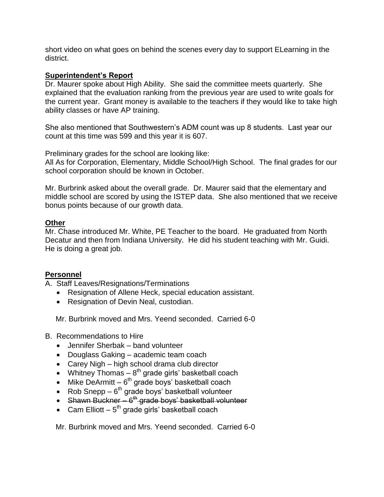short video on what goes on behind the scenes every day to support ELearning in the district.

### **Superintendent's Report**

Dr. Maurer spoke about High Ability. She said the committee meets quarterly. She explained that the evaluation ranking from the previous year are used to write goals for the current year. Grant money is available to the teachers if they would like to take high ability classes or have AP training.

She also mentioned that Southwestern's ADM count was up 8 students. Last year our count at this time was 599 and this year it is 607.

Preliminary grades for the school are looking like:

All As for Corporation, Elementary, Middle School/High School. The final grades for our school corporation should be known in October.

Mr. Burbrink asked about the overall grade. Dr. Maurer said that the elementary and middle school are scored by using the ISTEP data. She also mentioned that we receive bonus points because of our growth data.

#### **Other**

Mr. Chase introduced Mr. White, PE Teacher to the board. He graduated from North Decatur and then from Indiana University. He did his student teaching with Mr. Guidi. He is doing a great job.

### **Personnel**

A. Staff Leaves/Resignations/Terminations

- Resignation of Allene Heck, special education assistant.
- Resignation of Devin Neal, custodian.

Mr. Burbrink moved and Mrs. Yeend seconded. Carried 6-0

- B. Recommendations to Hire
	- Jennifer Sherbak band volunteer
	- Douglass Gaking academic team coach
	- Carey Nigh high school drama club director
	- Whitney Thomas  $-8^{th}$  grade girls' basketball coach
	- Mike DeArmitt  $6<sup>th</sup>$  grade boys' basketball coach
	- Rob Snepp  $-6<sup>th</sup>$  grade boys' basketball volunteer
	- Shawn Buckner 6<sup>th</sup> grade boys' basketball volunteer
	- Cam Elliott  $-5<sup>th</sup>$  grade girls' basketball coach

Mr. Burbrink moved and Mrs. Yeend seconded. Carried 6-0